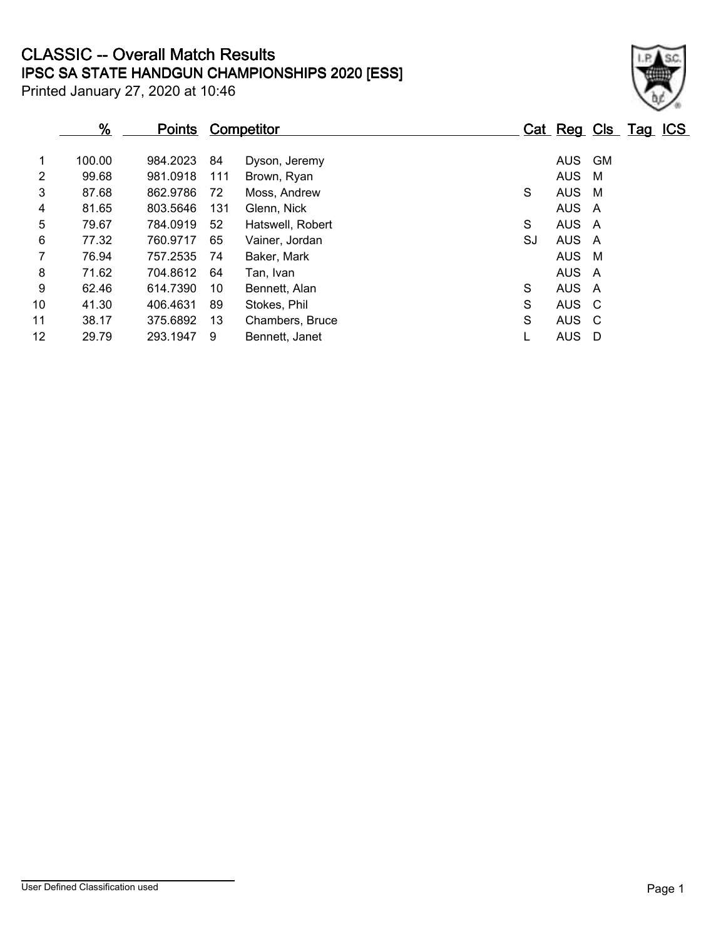## **IPSC SA STATE HANDGUN CHAMPIONSHIPS 2020 [ESS] CLASSIC -- Overall Match Results**

Printed January 27, 2020 at 10:46

|                 | <u>%</u> | <u>Points</u> |     | <b>Competitor</b> |    | Cat Reg Cls Tag ICS |           |  |
|-----------------|----------|---------------|-----|-------------------|----|---------------------|-----------|--|
| 1               | 100.00   | 984.2023      | 84  | Dyson, Jeremy     |    | <b>AUS</b>          | <b>GM</b> |  |
| $\overline{2}$  | 99.68    | 981.0918      | 111 | Brown, Ryan       |    | AUS                 | M         |  |
| 3               | 87.68    | 862.9786      | 72  | Moss, Andrew      | S  | <b>AUS</b>          | M         |  |
| 4               | 81.65    | 803.5646      | 131 | Glenn, Nick       |    | AUS A               |           |  |
| 5               | 79.67    | 784.0919      | 52  | Hatswell, Robert  | S  | AUS A               |           |  |
| 6               | 77.32    | 760.9717      | 65  | Vainer, Jordan    | SJ | AUS A               |           |  |
| 7               | 76.94    | 757.2535      | 74  | Baker, Mark       |    | AUS                 | M         |  |
| 8               | 71.62    | 704.8612      | 64  | Tan, Ivan         |    | AUS A               |           |  |
| 9               | 62.46    | 614.7390      | 10  | Bennett, Alan     | S  | AUS A               |           |  |
| 10              | 41.30    | 406.4631      | 89  | Stokes, Phil      | S  | AUS C               |           |  |
| 11              | 38.17    | 375.6892      | 13  | Chambers, Bruce   | S  | AUS C               |           |  |
| 12 <sup>2</sup> | 29.79    | 293.1947      | 9   | Bennett, Janet    |    | AUS                 | D         |  |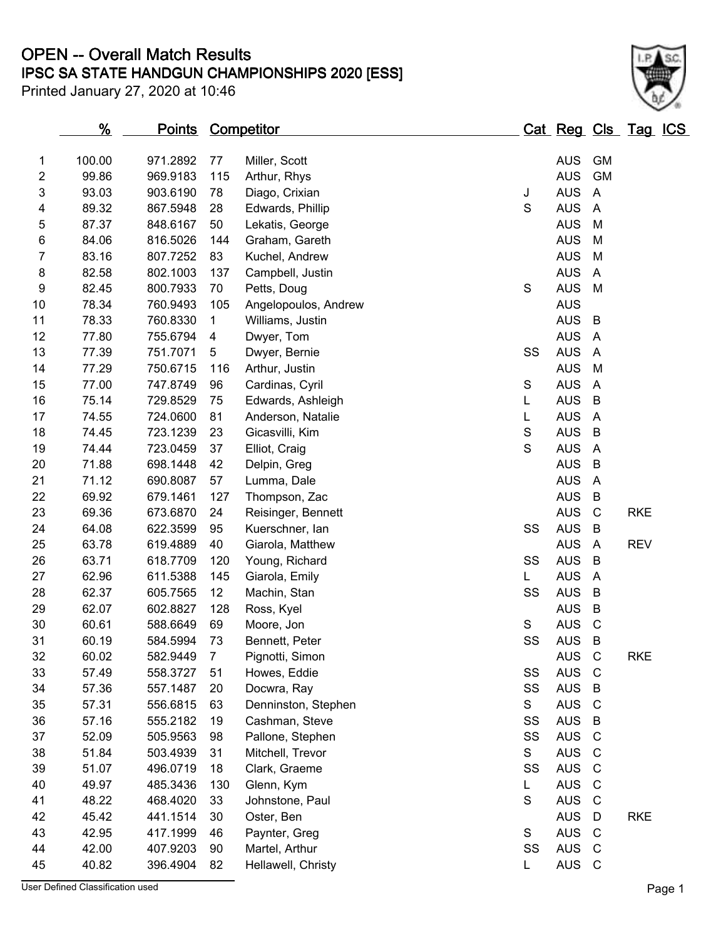## **IPSC SA STATE HANDGUN CHAMPIONSHIPS 2020 [ESS] OPEN -- Overall Match Results**

Printed January 27, 2020 at 10:46



|    | $\frac{9}{6}$ | Points Competitor |     |                      |             | Cat Reg Cls Tag ICS |                |            |  |
|----|---------------|-------------------|-----|----------------------|-------------|---------------------|----------------|------------|--|
| 1  | 100.00        | 971.2892          | 77  | Miller, Scott        |             | <b>AUS</b>          | <b>GM</b>      |            |  |
| 2  | 99.86         | 969.9183          | 115 | Arthur, Rhys         |             | <b>AUS</b>          | GM             |            |  |
| 3  | 93.03         | 903.6190          | 78  | Diago, Crixian       | J           | <b>AUS</b>          | A              |            |  |
| 4  | 89.32         | 867.5948          | 28  | Edwards, Phillip     | S           | <b>AUS</b>          | A              |            |  |
| 5  | 87.37         | 848.6167          | 50  | Lekatis, George      |             | <b>AUS</b>          | M              |            |  |
| 6  | 84.06         | 816.5026          | 144 | Graham, Gareth       |             | <b>AUS</b>          | M              |            |  |
| 7  | 83.16         | 807.7252          | 83  | Kuchel, Andrew       |             | <b>AUS</b>          | M              |            |  |
| 8  | 82.58         | 802.1003          | 137 | Campbell, Justin     |             | <b>AUS</b>          | A              |            |  |
| 9  | 82.45         | 800.7933          | 70  | Petts, Doug          | S           | <b>AUS</b>          | M              |            |  |
| 10 | 78.34         | 760.9493          | 105 | Angelopoulos, Andrew |             | <b>AUS</b>          |                |            |  |
| 11 | 78.33         | 760.8330          | 1   | Williams, Justin     |             | <b>AUS</b>          | B              |            |  |
| 12 | 77.80         | 755.6794          | 4   | Dwyer, Tom           |             | <b>AUS</b>          | $\overline{A}$ |            |  |
| 13 | 77.39         | 751.7071          | 5   | Dwyer, Bernie        | SS          | <b>AUS</b>          | $\overline{A}$ |            |  |
| 14 | 77.29         | 750.6715          | 116 | Arthur, Justin       |             | <b>AUS</b>          | M              |            |  |
| 15 | 77.00         | 747.8749          | 96  | Cardinas, Cyril      | S           | <b>AUS</b>          | $\overline{A}$ |            |  |
| 16 | 75.14         | 729.8529          | 75  | Edwards, Ashleigh    | L           | <b>AUS</b>          | B              |            |  |
| 17 | 74.55         | 724.0600          | 81  | Anderson, Natalie    | L           | <b>AUS</b>          | $\overline{A}$ |            |  |
| 18 | 74.45         | 723.1239          | 23  | Gicasvilli, Kim      | $\mathbf S$ | <b>AUS</b>          | B              |            |  |
| 19 | 74.44         | 723.0459          | 37  | Elliot, Craig        | $\mathbf S$ | <b>AUS</b>          | $\overline{A}$ |            |  |
| 20 | 71.88         | 698.1448          | 42  | Delpin, Greg         |             | <b>AUS</b>          | B              |            |  |
| 21 | 71.12         | 690.8087          | 57  | Lumma, Dale          |             | <b>AUS</b>          | $\overline{A}$ |            |  |
| 22 | 69.92         | 679.1461          | 127 | Thompson, Zac        |             | <b>AUS</b>          | B              |            |  |
| 23 | 69.36         | 673.6870          | 24  | Reisinger, Bennett   |             | <b>AUS</b>          | $\mathsf{C}$   | <b>RKE</b> |  |
| 24 | 64.08         | 622.3599          | 95  | Kuerschner, lan      | SS          | <b>AUS</b>          | B              |            |  |
| 25 | 63.78         | 619.4889          | 40  | Giarola, Matthew     |             | <b>AUS</b>          | A              | <b>REV</b> |  |
| 26 | 63.71         | 618.7709          | 120 | Young, Richard       | SS          | <b>AUS</b>          | B              |            |  |
| 27 | 62.96         | 611.5388          | 145 | Giarola, Emily       | L.          | <b>AUS</b>          | $\overline{A}$ |            |  |
| 28 | 62.37         | 605.7565          | 12  | Machin, Stan         | SS          | <b>AUS</b>          | B              |            |  |
| 29 | 62.07         | 602.8827          | 128 | Ross, Kyel           |             | <b>AUS</b>          | B              |            |  |
| 30 | 60.61         | 588.6649          | 69  | Moore, Jon           | S           | <b>AUS</b>          | $\mathsf{C}$   |            |  |
| 31 | 60.19         | 584.5994          | 73  | Bennett, Peter       | SS          | <b>AUS</b>          | B              |            |  |
| 32 | 60.02         | 582.9449          | 7   | Pignotti, Simon      |             | AUS C               |                | <b>RKE</b> |  |
| 33 | 57.49         | 558.3727          | 51  | Howes, Eddie         | SS          | <b>AUS</b>          | C              |            |  |
| 34 | 57.36         | 557.1487          | 20  | Docwra, Ray          | SS          | <b>AUS</b>          | B              |            |  |
| 35 | 57.31         | 556.6815          | 63  | Denninston, Stephen  | S           | <b>AUS</b>          | $\mathsf{C}$   |            |  |
| 36 | 57.16         | 555.2182          | 19  | Cashman, Steve       | SS          | <b>AUS</b>          | B              |            |  |
| 37 | 52.09         | 505.9563          | 98  | Pallone, Stephen     | SS          | <b>AUS</b>          | $\mathsf{C}$   |            |  |
| 38 | 51.84         | 503.4939          | 31  | Mitchell, Trevor     | S           | <b>AUS</b>          | $\mathsf{C}$   |            |  |
| 39 | 51.07         | 496.0719          | 18  | Clark, Graeme        | SS          | <b>AUS</b>          | C              |            |  |
| 40 | 49.97         | 485.3436          | 130 | Glenn, Kym           | L.          | <b>AUS</b>          | C              |            |  |
| 41 | 48.22         | 468.4020          | 33  | Johnstone, Paul      | S           | <b>AUS</b>          | C              |            |  |
| 42 | 45.42         | 441.1514          | 30  | Oster, Ben           |             | <b>AUS</b>          | D              | <b>RKE</b> |  |
| 43 | 42.95         | 417.1999          | 46  | Paynter, Greg        | S           | <b>AUS</b>          | $\mathsf{C}$   |            |  |
| 44 | 42.00         | 407.9203          | 90  | Martel, Arthur       | SS          | <b>AUS</b>          | $\mathsf{C}$   |            |  |
| 45 | 40.82         | 396.4904          | 82  | Hellawell, Christy   | L.          | AUS C               |                |            |  |

User Defined Classification used **Page 1**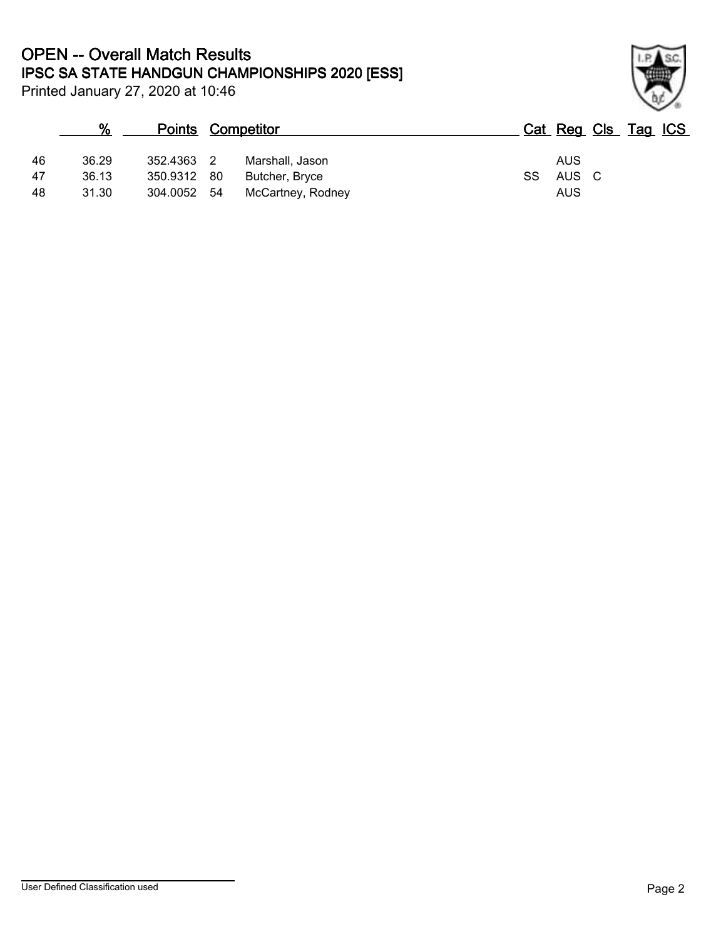## **IPSC SA STATE HANDGUN CHAMPIONSHIPS 2020 [ESS] OPEN -- Overall Match Results**

Printed January 27, 2020 at 10:46

## **% Points Competitor Cat Reg Cls Tag ICS** 46 36.29 352.4363 2 Marshall, Jason AUS 47 36.13 350.9312 80 Butcher, Bryce SS 48 31.30 304.0052 54 McCartney, Rodney AUS

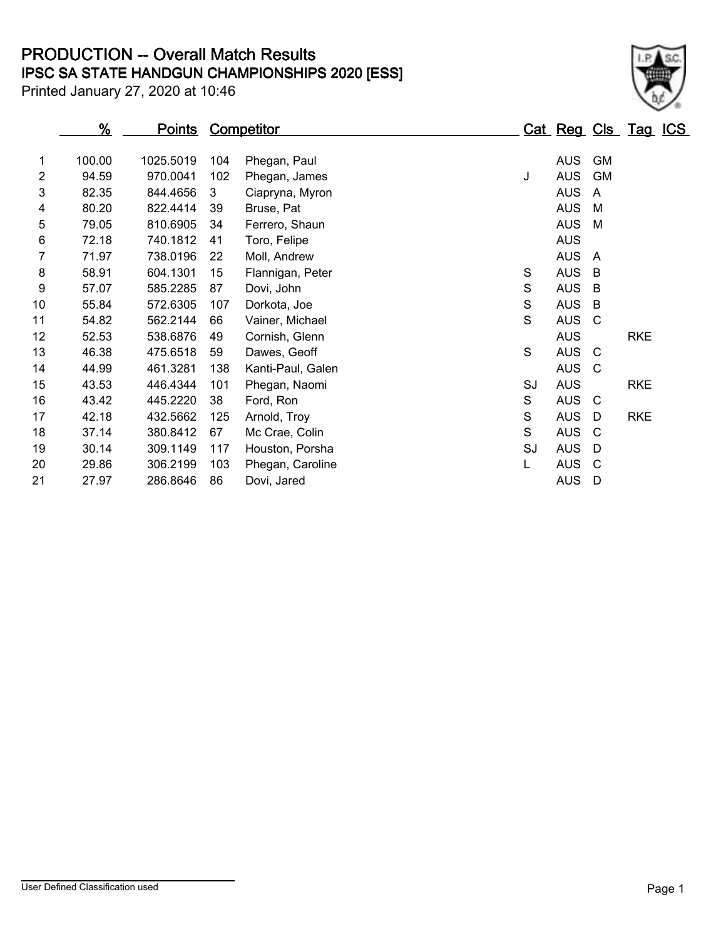**IPSC SA STATE HANDGUN CHAMPIONSHIPS 2020 [ESS] PRODUCTION -- Overall Match Results**

Printed January 27, 2020 at 10:46

|                | <u>%</u> | <u>Points</u> |     | <b>Competitor</b> |             | <u>Cat Reg Cls Tag ICS</u> |                |            |  |
|----------------|----------|---------------|-----|-------------------|-------------|----------------------------|----------------|------------|--|
|                |          |               |     |                   |             |                            |                |            |  |
| 1              | 100.00   | 1025.5019     | 104 | Phegan, Paul      |             | <b>AUS</b>                 | <b>GM</b>      |            |  |
| $\overline{2}$ | 94.59    | 970.0041      | 102 | Phegan, James     | J           | <b>AUS</b>                 | <b>GM</b>      |            |  |
| 3              | 82.35    | 844.4656      | 3   | Ciapryna, Myron   |             | <b>AUS</b>                 | $\overline{A}$ |            |  |
| 4              | 80.20    | 822.4414      | 39  | Bruse, Pat        |             | <b>AUS</b>                 | M              |            |  |
| 5              | 79.05    | 810.6905      | 34  | Ferrero, Shaun    |             | <b>AUS</b>                 | M              |            |  |
| 6              | 72.18    | 740.1812      | 41  | Toro, Felipe      |             | <b>AUS</b>                 |                |            |  |
| $\overline{7}$ | 71.97    | 738.0196      | 22  | Moll, Andrew      |             | <b>AUS</b>                 | A              |            |  |
| 8              | 58.91    | 604.1301      | 15  | Flannigan, Peter  | S           | <b>AUS</b>                 | B              |            |  |
| 9              | 57.07    | 585.2285      | 87  | Dovi, John        | S           | <b>AUS</b>                 | B              |            |  |
| 10             | 55.84    | 572.6305      | 107 | Dorkota, Joe      | $\mathsf S$ | <b>AUS</b>                 | B              |            |  |
| 11             | 54.82    | 562.2144      | 66  | Vainer, Michael   | S           | <b>AUS</b>                 | C              |            |  |
| 12             | 52.53    | 538.6876      | 49  | Cornish, Glenn    |             | <b>AUS</b>                 |                | <b>RKE</b> |  |
| 13             | 46.38    | 475.6518      | 59  | Dawes, Geoff      | S           | <b>AUS</b>                 | C              |            |  |
| 14             | 44.99    | 461.3281      | 138 | Kanti-Paul, Galen |             | <b>AUS</b>                 | - C            |            |  |
| 15             | 43.53    | 446.4344      | 101 | Phegan, Naomi     | SJ          | <b>AUS</b>                 |                | <b>RKE</b> |  |
| 16             | 43.42    | 445.2220      | 38  | Ford, Ron         | S           | <b>AUS</b>                 | - C            |            |  |
| 17             | 42.18    | 432.5662      | 125 | Arnold, Troy      | S           | <b>AUS</b>                 | D              | <b>RKE</b> |  |
| 18             | 37.14    | 380.8412      | 67  | Mc Crae, Colin    | S           | <b>AUS</b>                 | C              |            |  |
| 19             | 30.14    | 309.1149      | 117 | Houston, Porsha   | SJ          | <b>AUS</b>                 | D              |            |  |
| 20             | 29.86    | 306.2199      | 103 | Phegan, Caroline  | L           | <b>AUS</b>                 | C              |            |  |
| 21             | 27.97    | 286.8646      | 86  | Dovi, Jared       |             | <b>AUS</b>                 | D              |            |  |
|                |          |               |     |                   |             |                            |                |            |  |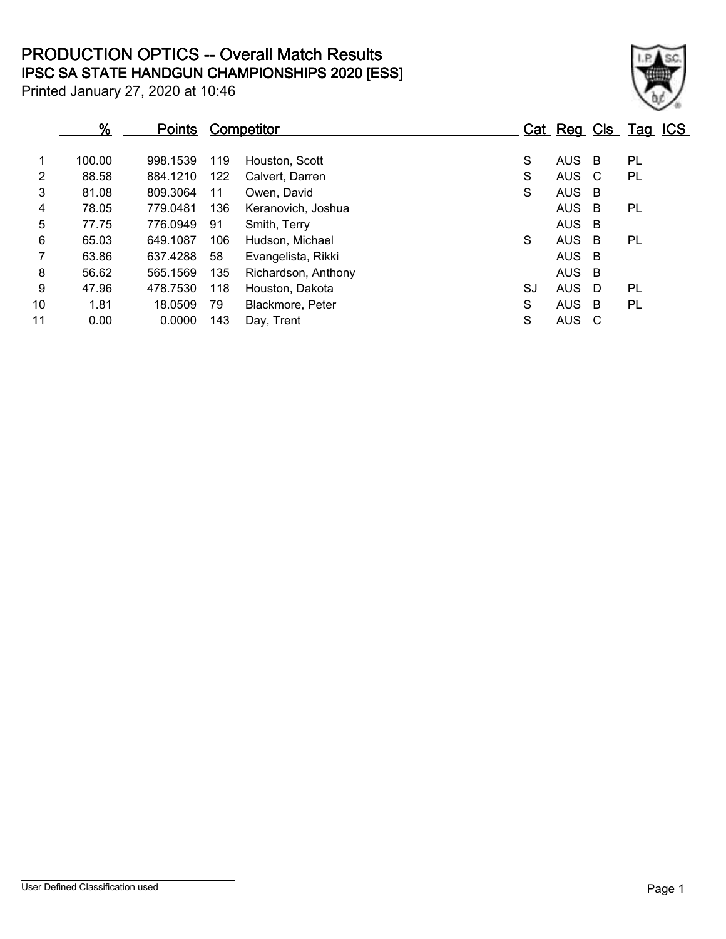**IPSC SA STATE HANDGUN CHAMPIONSHIPS 2020 [ESS] PRODUCTION OPTICS -- Overall Match Results**

Printed January 27, 2020 at 10:46

 $\frac{1}{2}$  ,  $\frac{1}{2}$  ,  $\frac{1}{2}$ 

# **% Points Competitor Cat Reg Cls Tag ICS** 100.00 998.1539 119 Houston, Scott S AUS B PL

| 2  | 88.58 | 884.1210 | 122 | Calvert. Darren     | S  | AUS   | - C | PL |
|----|-------|----------|-----|---------------------|----|-------|-----|----|
| 3  | 81.08 | 809.3064 | 11  | Owen, David         | S  | AUS B |     |    |
| 4  | 78.05 | 779.0481 | 136 | Keranovich, Joshua  |    | AUS B |     | PL |
| 5  | 77.75 | 776.0949 | 91  | Smith, Terry        |    | AUS B |     |    |
| 6  | 65.03 | 649.1087 | 106 | Hudson, Michael     | S  | AUS.  | - B | PL |
| 7  | 63.86 | 637.4288 | 58  | Evangelista, Rikki  |    | AUS B |     |    |
| 8  | 56.62 | 565.1569 | 135 | Richardson, Anthony |    | AUS B |     |    |
| 9  | 47.96 | 478.7530 | 118 | Houston, Dakota     | SJ | AUS.  | - D | PL |
| 10 | 1.81  | 18.0509  | 79  | Blackmore, Peter    | S  | AUS   | - B | PL |
| 11 | 0.00  | 0.0000   | 143 | Day, Trent          | S  | AUS C |     |    |

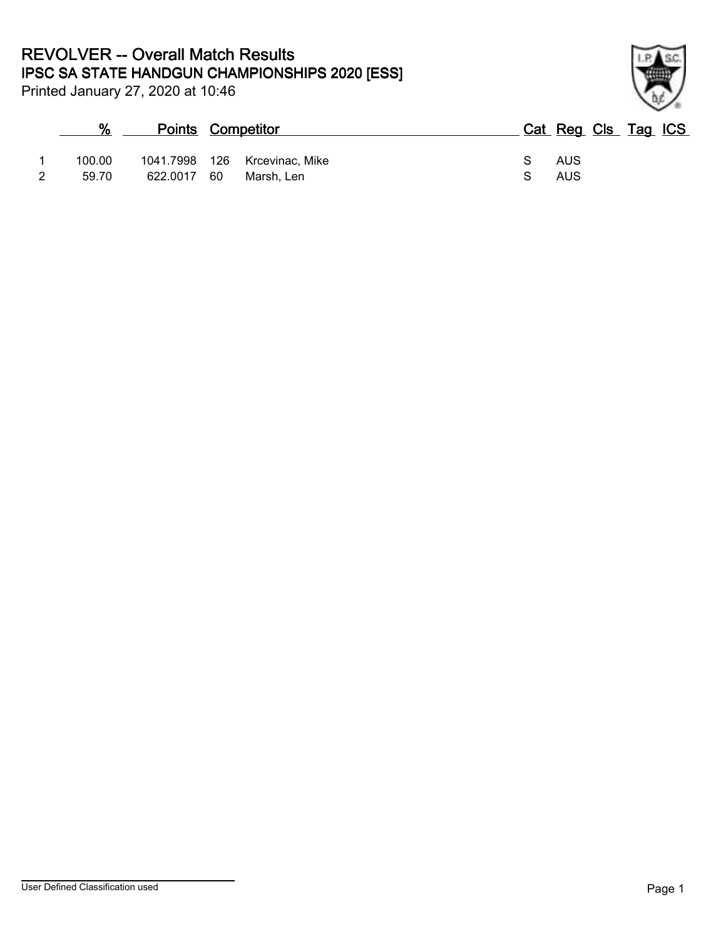Printed January 27, 2020 at 10:46

## **% Points Competitor Cat Reg Cls Tag ICS** 1 100.00 1041.7998 126 Krcevinac, Mike S S AUS 2 59.70 622.0017 60 Marsh, Len S 6 AUS

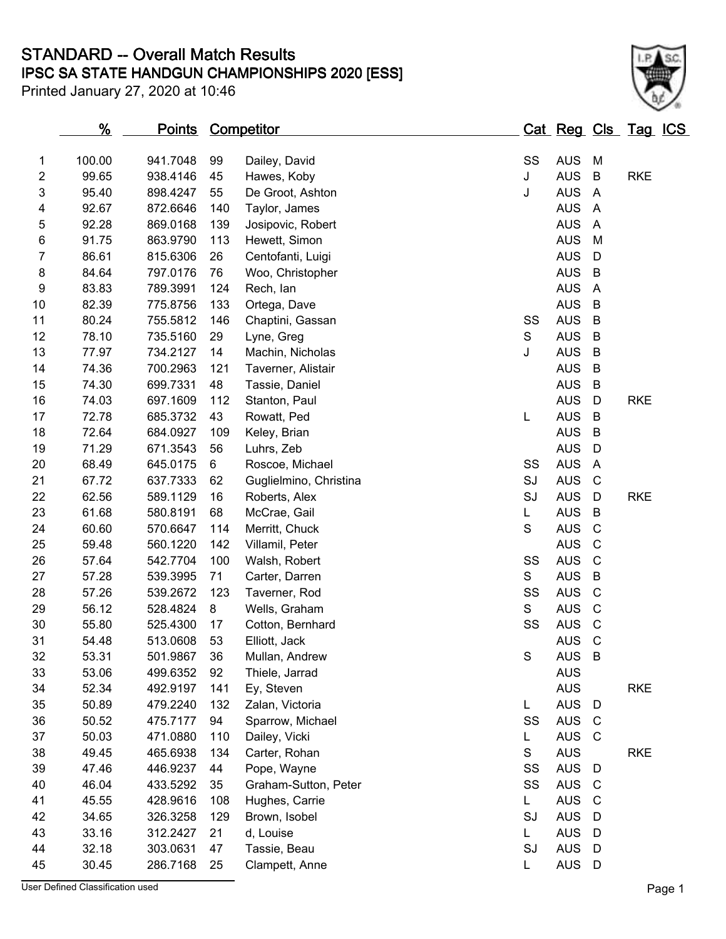### **IPSC SA STATE HANDGUN CHAMPIONSHIPS 2020 [ESS] STANDARD -- Overall Match Results**

Printed January 27, 2020 at 10:46



|                | <u>%</u> | <u>Points</u> |     | <u>Competitor</u>      |               |    | <u>Cat Reg Cls Tag ICS</u> |                |            |  |
|----------------|----------|---------------|-----|------------------------|---------------|----|----------------------------|----------------|------------|--|
| $\mathbf{1}$   | 100.00   | 941.7048      | 99  | Dailey, David          |               | SS | <b>AUS</b>                 | M              |            |  |
| $\overline{c}$ | 99.65    | 938.4146      | 45  | Hawes, Koby            | J             |    | <b>AUS</b>                 | B              | <b>RKE</b> |  |
| 3              | 95.40    | 898.4247      | 55  | De Groot, Ashton       | J             |    | <b>AUS</b>                 | A              |            |  |
| 4              | 92.67    | 872.6646      | 140 | Taylor, James          |               |    | <b>AUS</b>                 | $\overline{A}$ |            |  |
| 5              | 92.28    | 869.0168      | 139 | Josipovic, Robert      |               |    | <b>AUS</b>                 | $\overline{A}$ |            |  |
| $\,6$          | 91.75    | 863.9790      | 113 | Hewett, Simon          |               |    | <b>AUS</b>                 | M              |            |  |
| 7              | 86.61    | 815.6306      | 26  | Centofanti, Luigi      |               |    | <b>AUS</b>                 | D              |            |  |
| 8              | 84.64    | 797.0176      | 76  | Woo, Christopher       |               |    | <b>AUS</b>                 | B              |            |  |
| 9              | 83.83    | 789.3991      | 124 | Rech, lan              |               |    | <b>AUS</b>                 | $\overline{A}$ |            |  |
| 10             | 82.39    | 775.8756      | 133 | Ortega, Dave           |               |    | <b>AUS</b>                 | B              |            |  |
| 11             | 80.24    | 755.5812      | 146 | Chaptini, Gassan       |               | SS | <b>AUS</b>                 | B              |            |  |
| 12             | 78.10    | 735.5160      | 29  | Lyne, Greg             | ${\mathsf S}$ |    | <b>AUS</b>                 | B              |            |  |
| 13             | 77.97    | 734.2127      | 14  | Machin, Nicholas       | J             |    | <b>AUS</b>                 | B              |            |  |
| 14             | 74.36    | 700.2963      | 121 | Taverner, Alistair     |               |    | <b>AUS</b>                 | B              |            |  |
| 15             | 74.30    | 699.7331      | 48  | Tassie, Daniel         |               |    | <b>AUS</b>                 | B              |            |  |
| 16             | 74.03    | 697.1609      | 112 | Stanton, Paul          |               |    | <b>AUS</b>                 | D              | <b>RKE</b> |  |
| 17             | 72.78    | 685.3732      | 43  | Rowatt, Ped            | L             |    | <b>AUS</b>                 | B              |            |  |
| 18             | 72.64    | 684.0927      | 109 | Keley, Brian           |               |    | <b>AUS</b>                 | B              |            |  |
| 19             | 71.29    | 671.3543      | 56  | Luhrs, Zeb             |               |    | <b>AUS</b>                 | D              |            |  |
| 20             | 68.49    | 645.0175      | 6   | Roscoe, Michael        |               | SS | <b>AUS</b>                 | $\overline{A}$ |            |  |
| 21             | 67.72    | 637.7333      | 62  | Guglielmino, Christina |               | SJ | <b>AUS</b>                 | C              |            |  |
| 22             | 62.56    | 589.1129      | 16  | Roberts, Alex          |               | SJ | <b>AUS</b>                 | D              | <b>RKE</b> |  |
| 23             | 61.68    | 580.8191      | 68  | McCrae, Gail           | L             |    | <b>AUS</b>                 | B              |            |  |
| 24             | 60.60    | 570.6647      | 114 | Merritt, Chuck         | S             |    | <b>AUS</b>                 | $\mathsf{C}$   |            |  |
| 25             | 59.48    | 560.1220      | 142 | Villamil, Peter        |               |    | <b>AUS</b>                 | C              |            |  |
| 26             | 57.64    | 542.7704      | 100 | Walsh, Robert          |               | SS | <b>AUS</b>                 | $\mathsf{C}$   |            |  |
| 27             | 57.28    | 539.3995      | 71  | Carter, Darren         | S             |    | <b>AUS</b>                 | B              |            |  |
| 28             | 57.26    | 539.2672      | 123 | Taverner, Rod          |               | SS | <b>AUS</b>                 | $\mathsf{C}$   |            |  |
| 29             | 56.12    | 528.4824      | 8   | Wells, Graham          | S             |    | <b>AUS</b>                 | C              |            |  |
| 30             | 55.80    | 525.4300      | 17  | Cotton, Bernhard       |               | SS | <b>AUS</b>                 | $\mathsf{C}$   |            |  |
| 31             | 54.48    | 513.0608      | 53  | Elliott, Jack          |               |    | <b>AUS</b>                 | C              |            |  |
| 32             | 53.31    | 501.9867      | 36  | Mullan, Andrew         | $\mathbb S$   |    | <b>AUS</b>                 | $\overline{B}$ |            |  |
| 33             | 53.06    | 499.6352      | 92  | Thiele, Jarrad         |               |    | <b>AUS</b>                 |                |            |  |
| 34             | 52.34    | 492.9197      | 141 | Ey, Steven             |               |    | <b>AUS</b>                 |                | <b>RKE</b> |  |
| 35             | 50.89    | 479.2240      | 132 | Zalan, Victoria        | L             |    | <b>AUS</b>                 | D              |            |  |
| 36             | 50.52    | 475.7177      | 94  | Sparrow, Michael       |               | SS | <b>AUS</b>                 | $\mathbf C$    |            |  |
| 37             | 50.03    | 471.0880      | 110 | Dailey, Vicki          | L             |    | <b>AUS</b>                 | C              |            |  |
| 38             | 49.45    | 465.6938      | 134 | Carter, Rohan          | S             |    | <b>AUS</b>                 |                | <b>RKE</b> |  |
| 39             | 47.46    | 446.9237      | 44  | Pope, Wayne            |               | SS | <b>AUS</b>                 | D              |            |  |
| 40             | 46.04    | 433.5292      | 35  | Graham-Sutton, Peter   |               | SS | <b>AUS</b>                 | <sub>C</sub>   |            |  |
| 41             | 45.55    | 428.9616      | 108 | Hughes, Carrie         | L.            |    | <b>AUS</b>                 | C              |            |  |
| 42             | 34.65    | 326.3258      | 129 | Brown, Isobel          |               | SJ | <b>AUS</b>                 | D              |            |  |
| 43             | 33.16    | 312.2427      | 21  | d, Louise              | L.            |    | <b>AUS</b>                 | D              |            |  |
| 44             | 32.18    | 303.0631      | 47  | Tassie, Beau           |               | SJ | <b>AUS</b>                 | D              |            |  |
| 45             | 30.45    | 286.7168      | 25  | Clampett, Anne         | L             |    | <b>AUS</b>                 | D              |            |  |

User Defined Classification used **Page 1**